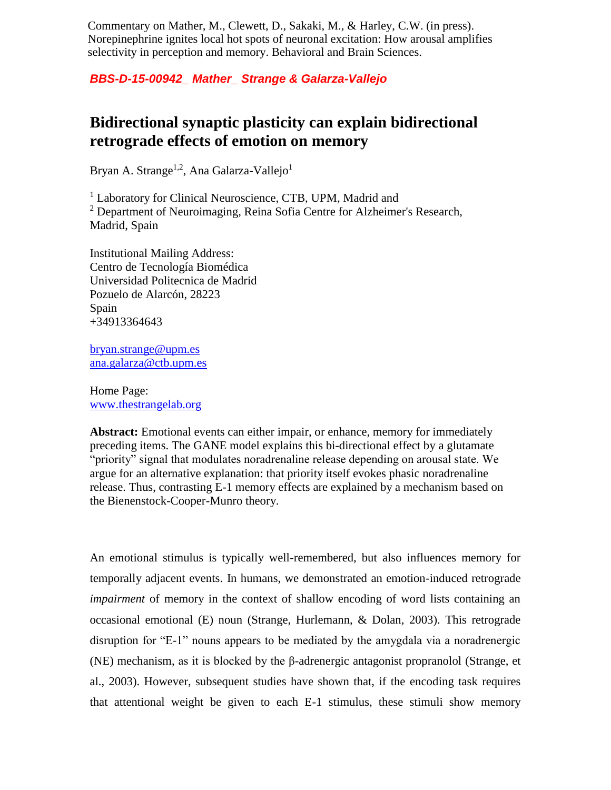Commentary on Mather, M., Clewett, D., Sakaki, M., & Harley, C.W. (in press). Norepinephrine ignites local hot spots of neuronal excitation: How arousal amplifies selectivity in perception and memory. Behavioral and Brain Sciences.

*BBS-D-15-00942\_ Mather\_ Strange & Galarza-Vallejo*

## **Bidirectional synaptic plasticity can explain bidirectional retrograde effects of emotion on memory**

Bryan A. Strange<sup>1,2</sup>, Ana Galarza-Vallejo<sup>1</sup>

<sup>1</sup> Laboratory for Clinical Neuroscience, CTB, UPM, Madrid and  $2$  Department of Neuroimaging, Reina Sofia Centre for Alzheimer's Research, Madrid, Spain

Institutional Mailing Address: Centro de Tecnología Biomédica Universidad Politecnica de Madrid Pozuelo de Alarcón, 28223 Spain +34913364643

[bryan.strange@upm.es](mailto:bryan.strange@upm.es) [ana.galarza@ctb.upm.es](mailto:ana.galarza@ctb.upm.es)

Home Page: [www.thestrangelab.org](http://www.thestrangelab.org/)

**Abstract:** Emotional events can either impair, or enhance, memory for immediately preceding items. The GANE model explains this bi-directional effect by a glutamate "priority" signal that modulates noradrenaline release depending on arousal state. We argue for an alternative explanation: that priority itself evokes phasic noradrenaline release. Thus, contrasting E-1 memory effects are explained by a mechanism based on the Bienenstock-Cooper-Munro theory.

An emotional stimulus is typically well-remembered, but also influences memory for temporally adjacent events. In humans, we demonstrated an emotion-induced retrograde *impairment* of memory in the context of shallow encoding of word lists containing an occasional emotional (E) noun (Strange, Hurlemann, & Dolan, 2003). This retrograde disruption for "E-1" nouns appears to be mediated by the amygdala via a noradrenergic (NE) mechanism, as it is blocked by the β-adrenergic antagonist propranolol (Strange, et al., 2003). However, subsequent studies have shown that, if the encoding task requires that attentional weight be given to each E-1 stimulus, these stimuli show memory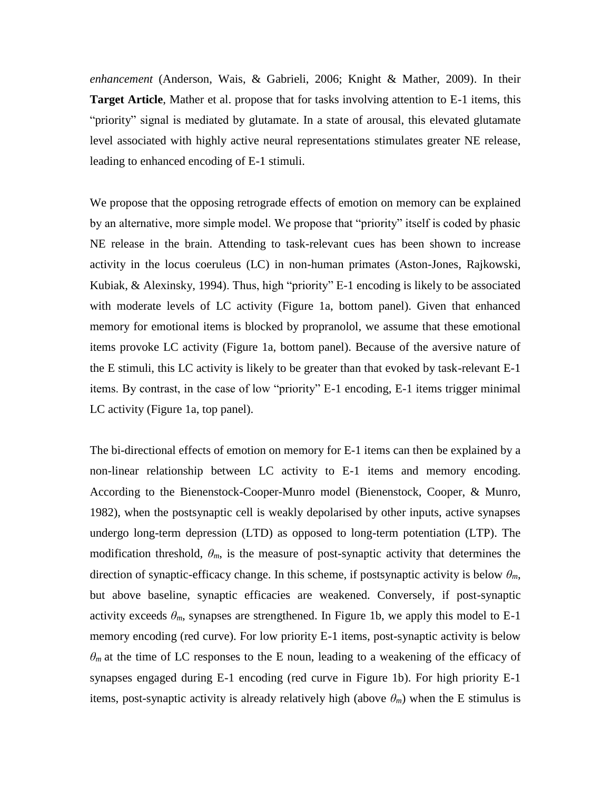*enhancement* (Anderson, Wais, & Gabrieli, 2006; Knight & Mather, 2009). In their **Target Article**, Mather et al. propose that for tasks involving attention to E-1 items, this "priority" signal is mediated by glutamate. In a state of arousal, this elevated glutamate level associated with highly active neural representations stimulates greater NE release, leading to enhanced encoding of E-1 stimuli.

We propose that the opposing retrograde effects of emotion on memory can be explained by an alternative, more simple model. We propose that "priority" itself is coded by phasic NE release in the brain. Attending to task-relevant cues has been shown to increase activity in the locus coeruleus (LC) in non-human primates (Aston-Jones, Rajkowski, Kubiak, & Alexinsky, 1994). Thus, high "priority" E-1 encoding is likely to be associated with moderate levels of LC activity (Figure 1a, bottom panel). Given that enhanced memory for emotional items is blocked by propranolol, we assume that these emotional items provoke LC activity (Figure 1a, bottom panel). Because of the aversive nature of the E stimuli, this LC activity is likely to be greater than that evoked by task-relevant E-1 items. By contrast, in the case of low "priority" E-1 encoding, E-1 items trigger minimal LC activity (Figure 1a, top panel).

The bi-directional effects of emotion on memory for E-1 items can then be explained by a non-linear relationship between LC activity to E-1 items and memory encoding. According to the Bienenstock-Cooper-Munro model (Bienenstock, Cooper, & Munro, 1982), when the postsynaptic cell is weakly depolarised by other inputs, active synapses undergo long-term depression (LTD) as opposed to long-term potentiation (LTP). The modification threshold,  $\theta_m$ , is the measure of post-synaptic activity that determines the direction of synaptic-efficacy change. In this scheme, if postsynaptic activity is below  $\theta_m$ , but above baseline, synaptic efficacies are weakened. Conversely, if post-synaptic activity exceeds  $\theta_m$ , synapses are strengthened. In Figure 1b, we apply this model to E-1 memory encoding (red curve). For low priority E-1 items, post-synaptic activity is below  $\theta_m$  at the time of LC responses to the E noun, leading to a weakening of the efficacy of synapses engaged during E-1 encoding (red curve in Figure 1b). For high priority E-1 items, post-synaptic activity is already relatively high (above  $\theta_m$ ) when the E stimulus is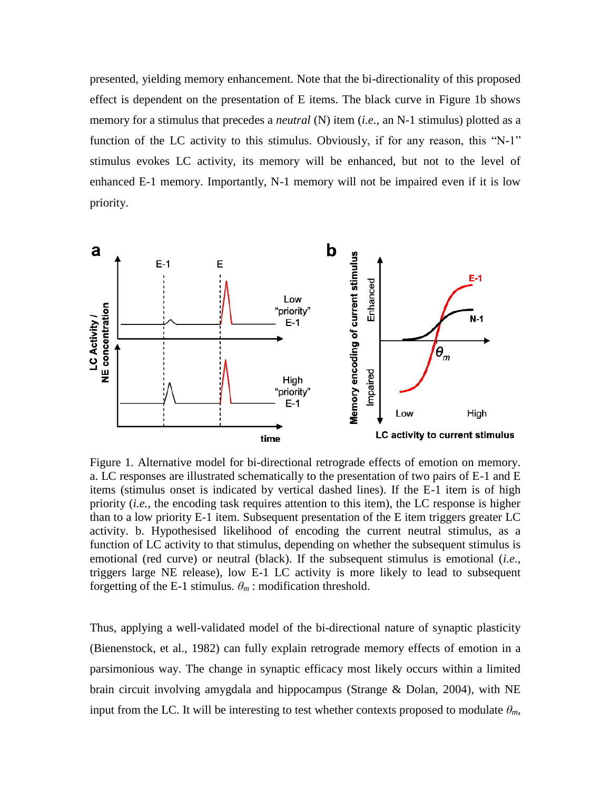presented, yielding memory enhancement. Note that the bi-directionality of this proposed effect is dependent on the presentation of E items. The black curve in Figure 1b shows memory for a stimulus that precedes a *neutral* (N) item (*i.e.*, an N-1 stimulus) plotted as a function of the LC activity to this stimulus. Obviously, if for any reason, this "N-1" stimulus evokes LC activity, its memory will be enhanced, but not to the level of enhanced E-1 memory. Importantly, N-1 memory will not be impaired even if it is low priority.



Figure 1. Alternative model for bi-directional retrograde effects of emotion on memory. a. LC responses are illustrated schematically to the presentation of two pairs of E-1 and E items (stimulus onset is indicated by vertical dashed lines). If the E-1 item is of high priority (*i.e.,* the encoding task requires attention to this item), the LC response is higher than to a low priority E-1 item. Subsequent presentation of the E item triggers greater LC activity. b. Hypothesised likelihood of encoding the current neutral stimulus, as a function of LC activity to that stimulus, depending on whether the subsequent stimulus is emotional (red curve) or neutral (black). If the subsequent stimulus is emotional (*i.e.,* triggers large NE release), low E-1 LC activity is more likely to lead to subsequent forgetting of the E-1 stimulus.  $\theta_m$ : modification threshold.

Thus, applying a well-validated model of the bi-directional nature of synaptic plasticity (Bienenstock, et al., 1982) can fully explain retrograde memory effects of emotion in a parsimonious way. The change in synaptic efficacy most likely occurs within a limited brain circuit involving amygdala and hippocampus (Strange & Dolan, 2004), with NE input from the LC. It will be interesting to test whether contexts proposed to modulate  $\theta_m$ ,